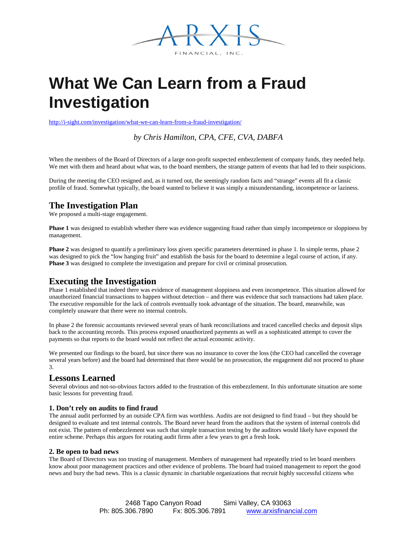

# **What We Can Learn from a Fraud Investigation**

<http://i-sight.com/investigation/what-we-can-learn-from-a-fraud-investigation/>

*by Chris Hamilton, CPA, CFE, CVA, DABFA*

When the members of the Board of Directors of a large non-profit suspected embezzlement of company funds, they needed help. We met with them and heard about what was, to the board members, the strange pattern of events that had led to their suspicions.

During the meeting the CEO resigned and, as it turned out, the seemingly random facts and "strange" events all fit a classic profile of fraud. Somewhat typically, the board wanted to believe it was simply a misunderstanding, incompetence or laziness.

# **The Investigation Plan**

We proposed a multi-stage engagement.

**Phase 1** was designed to establish whether there was evidence suggesting fraud rather than simply incompetence or sloppiness by management.

**Phase 2** was designed to quantify a preliminary loss given specific parameters determined in phase 1. In simple terms, phase 2 was designed to pick the "low hanging fruit" and establish the basis for the board to determine a legal course of action, if any. **Phase 3** was designed to complete the investigation and prepare for civil or criminal prosecution.

## **Executing the Investigation**

Phase 1 established that indeed there was evidence of management sloppiness and even incompetence. This situation allowed for unauthorized financial transactions to happen without detection – and there was evidence that such transactions had taken place. The executive responsible for the lack of controls eventually took advantage of the situation. The board, meanwhile, was completely unaware that there were no internal controls.

In phase 2 the forensic accountants reviewed several years of bank reconciliations and traced cancelled checks and deposit slips back to the accounting records. This process exposed unauthorized payments as well as a sophisticated attempt to cover the payments so that reports to the board would not reflect the actual economic activity.

We presented our findings to the board, but since there was no insurance to cover the loss (the CEO had cancelled the coverage several years before) and the board had determined that there would be no prosecution, the engagement did not proceed to phase 3.

# **Lessons Learned**

Several obvious and not-so-obvious factors added to the frustration of this embezzlement. In this unfortunate situation are some basic lessons for preventing fraud.

## **1. Don't rely on audits to find fraud**

The annual audit performed by an outside CPA firm was worthless. Audits are not designed to find fraud – but they should be designed to evaluate and test internal controls. The Board never heard from the auditors that the system of internal controls did not exist. The pattern of embezzlement was such that simple transaction testing by the auditors would likely have exposed the entire scheme. Perhaps this argues for rotating audit firms after a few years to get a fresh look.

#### **2. Be open to bad news**

The Board of Directors was too trusting of management. Members of management had repeatedly tried to let board members know about poor management practices and other evidence of problems. The board had trained management to report the good news and bury the bad news. This is a classic dynamic in charitable organizations that recruit highly successful citizens who